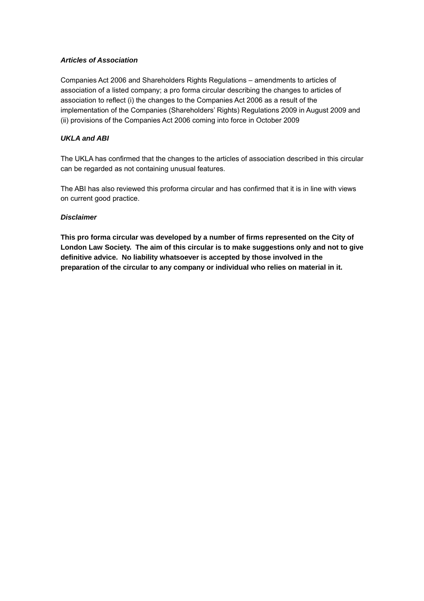## *Articles of Association*

Companies Act 2006 and Shareholders Rights Regulations – amendments to articles of association of a listed company; a pro forma circular describing the changes to articles of association to reflect (i) the changes to the Companies Act 2006 as a result of the implementation of the Companies (Shareholders' Rights) Regulations 2009 in August 2009 and (ii) provisions of the Companies Act 2006 coming into force in October 2009

## *UKLA and ABI*

The UKLA has confirmed that the changes to the articles of association described in this circular can be regarded as not containing unusual features.

The ABI has also reviewed this proforma circular and has confirmed that it is in line with views on current good practice.

## *Disclaimer*

**This pro forma circular was developed by a number of firms represented on the City of London Law Society. The aim of this circular is to make suggestions only and not to give definitive advice. No liability whatsoever is accepted by those involved in the preparation of the circular to any company or individual who relies on material in it.**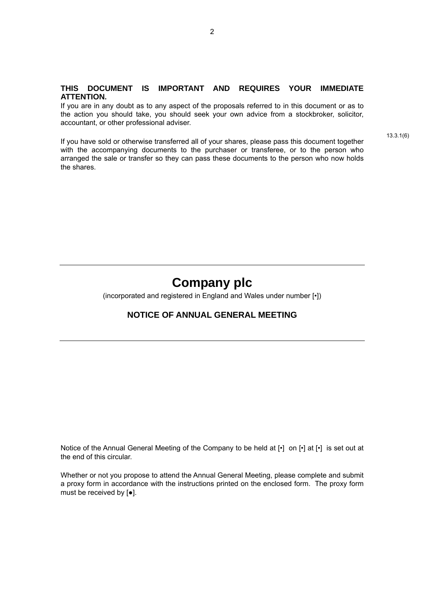#### **THIS DOCUMENT IS IMPORTANT AND REQUIRES YOUR IMMEDIATE ATTENTION.**

If you are in any doubt as to any aspect of the proposals referred to in this document or as to the action you should take, you should seek your own advice from a stockbroker, solicitor, accountant, or other professional adviser.

If you have sold or otherwise transferred all of your shares, please pass this document together with the accompanying documents to the purchaser or transferee, or to the person who arranged the sale or transfer so they can pass these documents to the person who now holds the shares.

13.3.1(6)

# **Company plc**

(incorporated and registered in England and Wales under number [•])

## **NOTICE OF ANNUAL GENERAL MEETING**

Notice of the Annual General Meeting of the Company to be held at [•] on [•] at [•] is set out at the end of this circular.

Whether or not you propose to attend the Annual General Meeting, please complete and submit a proxy form in accordance with the instructions printed on the enclosed form. The proxy form must be received by [●].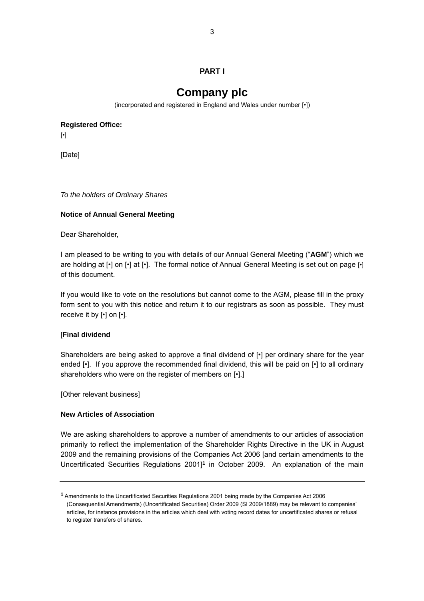## **PART I**

## **Company plc**

(incorporated and registered in England and Wales under number [•])

**Registered Office:**

[•]

[Date]

*To the holders of Ordinary Shares* 

## **Notice of Annual General Meeting**

Dear Shareholder,

I am pleased to be writing to you with details of our Annual General Meeting ("**AGM**") which we are holding at [•] on [•] at [•]. The formal notice of Annual General Meeting is set out on page [•] of this document.

If you would like to vote on the resolutions but cannot come to the AGM, please fill in the proxy form sent to you with this notice and return it to our registrars as soon as possible. They must receive it by [•] on [•].

## [**Final dividend**

Shareholders are being asked to approve a final dividend of [•] per ordinary share for the year ended [•]. If you approve the recommended final dividend, this will be paid on [•] to all ordinary shareholders who were on the register of members on [•].]

[Other relevant business]

## **New Articles of Association**

We are asking shareholders to approve a number of amendments to our articles of association primarily to reflect the implementation of the Shareholder Rights Directive in the UK in August 2009 and the remaining provisions of the Companies Act 2006 [and certain amendments to the Uncertificated Securities Regulations 2001]**[1](#page-2-0)** in October 2009. An explanation of the main

<span id="page-2-0"></span>**<sup>1</sup>** Amendments to the Uncertificated Securities Regulations 2001 being made by the Companies Act 2006 (Consequential Amendments) (Uncertificated Securities) Order 2009 (SI 2009/1889) may be relevant to companies' articles, for instance provisions in the articles which deal with voting record dates for uncertificated shares or refusal to register transfers of shares.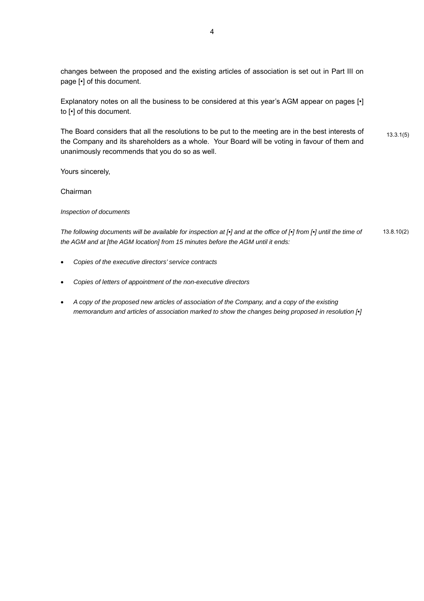changes between the proposed and the existing articles of association is set out in Part III on page [•] of this document.

Explanatory notes on all the business to be considered at this year's AGM appear on pages [·] to [•] of this document.

The Board considers that all the resolutions to be put to the meeting are in the best interests of  $13.3.1(5)$ the Company and its shareholders as a whole. Your Board will be voting in favour of them and unanimously recommends that you do so as well.

Yours sincerely,

Chairman

*Inspection of documents* 

*The following documents will be available for inspection at [•] and at the office of [•] from [•] until the time of* 13.8.10(2) *the AGM and at [the AGM location] from 15 minutes before the AGM until it ends:* 

- *Copies of the executive directors' service contracts*
- *Copies of letters of appointment of the non-executive directors*
- *A copy of the proposed new articles of association of the Company, and a copy of the existing memorandum and articles of association marked to show the changes being proposed in resolution [•]*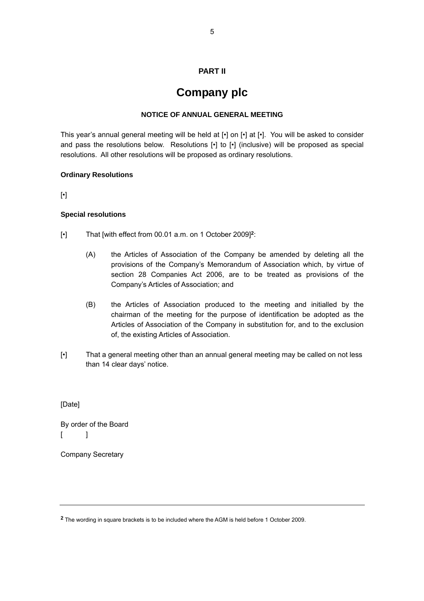## **PART II**

## **Company plc**

#### **NOTICE OF ANNUAL GENERAL MEETING**

This year's annual general meeting will be held at [•] on [•] at [•]. You will be asked to consider and pass the resolutions below. Resolutions [•] to [•] (inclusive) will be proposed as special resolutions. All other resolutions will be proposed as ordinary resolutions.

#### **Ordinary Resolutions**

[•]

#### **Special resolutions**

- [•] That [with effect from 00.01 a.m. on 1 October 2009]**[2](#page-4-0)**:
	- (A) the Articles of Association of the Company be amended by deleting all the provisions of the Company's Memorandum of Association which, by virtue of section 28 Companies Act 2006, are to be treated as provisions of the Company's Articles of Association; and
	- (B) the Articles of Association produced to the meeting and initialled by the chairman of the meeting for the purpose of identification be adopted as the Articles of Association of the Company in substitution for, and to the exclusion of, the existing Articles of Association.
- [•] That a general meeting other than an annual general meeting may be called on not less than 14 clear days' notice.

[Date]

By order of the Board  $\begin{bmatrix} 1 \end{bmatrix}$ 

Company Secretary

<span id="page-4-0"></span>**<sup>2</sup>** The wording in square brackets is to be included where the AGM is held before 1 October 2009.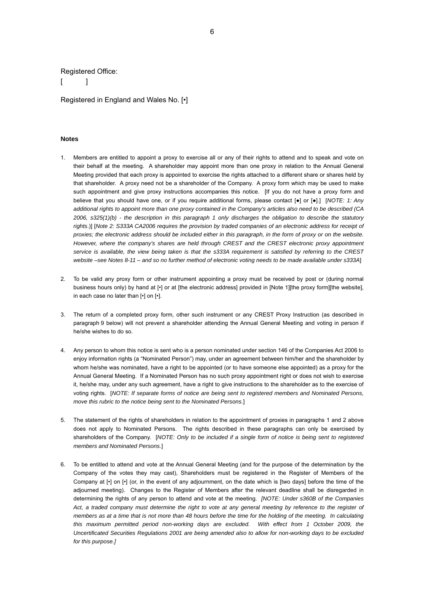#### Registered Office:

 $\lceil$   $\lceil$ 

Registered in England and Wales No. [•]

#### **Notes**

- 1. Members are entitled to appoint a proxy to exercise all or any of their rights to attend and to speak and vote on their behalf at the meeting. A shareholder may appoint more than one proxy in relation to the Annual General Meeting provided that each proxy is appointed to exercise the rights attached to a different share or shares held by that shareholder. A proxy need not be a shareholder of the Company. A proxy form which may be used to make such appointment and give proxy instructions accompanies this notice. [If you do not have a proxy form and believe that you should have one, or if you require additional forms, please contact [●] or [●].] [*NOTE: 1: Any additional rights to appoint more than one proxy contained in the Company's articles also need to be described (CA 2006, s325(1)(b) - the description in this paragraph 1 only discharges the obligation to describe the statutory rights*.)] [*Note 2: S333A CA2006 requires the provision by traded companies of an electronic address for receipt of proxies; the electronic address should be included either in this paragraph, in the form of proxy or on the website. However, where the company's shares are held through CREST and the CREST electronic proxy appointment service is available, the view being taken is that the s333A requirement is satisfied by referring to the CREST website –see Notes 8-11 – and so no further method of electronic voting needs to be made available under s333A*]
- 2. To be valid any proxy form or other instrument appointing a proxy must be received by post or (during normal business hours only) by hand at [•] or at [the electronic address] provided in [Note 1][the proxy form][the website], in each case no later than [•] on [•].
- 3. The return of a completed proxy form, other such instrument or any CREST Proxy Instruction (as described in paragraph 9 below) will not prevent a shareholder attending the Annual General Meeting and voting in person if he/she wishes to do so.
- 4. Any person to whom this notice is sent who is a person nominated under section 146 of the Companies Act 2006 to enjoy information rights (a "Nominated Person") may, under an agreement between him/her and the shareholder by whom he/she was nominated, have a right to be appointed (or to have someone else appointed) as a proxy for the Annual General Meeting. If a Nominated Person has no such proxy appointment right or does not wish to exercise it, he/she may, under any such agreement, have a right to give instructions to the shareholder as to the exercise of voting rights. [*NOTE: If separate forms of notice are being sent to registered members and Nominated Persons, move this rubric to the notice being sent to the Nominated Persons.*]
- 5. The statement of the rights of shareholders in relation to the appointment of proxies in paragraphs 1 and 2 above does not apply to Nominated Persons. The rights described in these paragraphs can only be exercised by shareholders of the Company. [*NOTE: Only to be included if a single form of notice is being sent to registered members and Nominated Persons.*]
- 6. To be entitled to attend and vote at the Annual General Meeting (and for the purpose of the determination by the Company of the votes they may cast), Shareholders must be registered in the Register of Members of the Company at [•] on [•] (or, in the event of any adjournment, on the date which is [two days] before the time of the adjourned meeting). Changes to the Register of Members after the relevant deadline shall be disregarded in determining the rights of any person to attend and vote at the meeting. *[NOTE: Under s360B of the Companies*  Act, a traded company must determine the right to vote at any general meeting by reference to the register of *members as at a time that is not more than 48 hours before the time for the holding of the meeting. In calculating this maximum permitted period non-working days are excluded. With effect from 1 October 2009, the Uncertificated Securities Regulations 2001 are being amended also to allow for non-working days to be excluded for this purpose.]*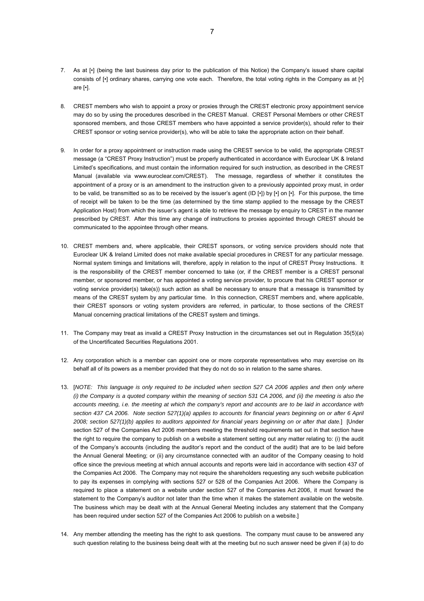- 7. As at [•] (being the last business day prior to the publication of this Notice) the Company's issued share capital consists of [•] ordinary shares, carrying one vote each. Therefore, the total voting rights in the Company as at [•] are [•].
- 8. CREST members who wish to appoint a proxy or proxies through the CREST electronic proxy appointment service may do so by using the procedures described in the CREST Manual. CREST Personal Members or other CREST sponsored members, and those CREST members who have appointed a service provider(s), should refer to their CREST sponsor or voting service provider(s), who will be able to take the appropriate action on their behalf.
- 9. In order for a proxy appointment or instruction made using the CREST service to be valid, the appropriate CREST message (a "CREST Proxy Instruction") must be properly authenticated in accordance with Euroclear UK & Ireland Limited's specifications, and must contain the information required for such instruction, as described in the CREST Manual (available via www.euroclear.com/CREST). The message, regardless of whether it constitutes the appointment of a proxy or is an amendment to the instruction given to a previously appointed proxy must, in order to be valid, be transmitted so as to be received by the issuer's agent (ID [•]) by [•] on [•]. For this purpose, the time of receipt will be taken to be the time (as determined by the time stamp applied to the message by the CREST Application Host) from which the issuer's agent is able to retrieve the message by enquiry to CREST in the manner prescribed by CREST. After this time any change of instructions to proxies appointed through CREST should be communicated to the appointee through other means.
- 10. CREST members and, where applicable, their CREST sponsors, or voting service providers should note that Euroclear UK & Ireland Limited does not make available special procedures in CREST for any particular message. Normal system timings and limitations will, therefore, apply in relation to the input of CREST Proxy Instructions. It is the responsibility of the CREST member concerned to take (or, if the CREST member is a CREST personal member, or sponsored member, or has appointed a voting service provider, to procure that his CREST sponsor or voting service provider(s) take(s)) such action as shall be necessary to ensure that a message is transmitted by means of the CREST system by any particular time. In this connection, CREST members and, where applicable, their CREST sponsors or voting system providers are referred, in particular, to those sections of the CREST Manual concerning practical limitations of the CREST system and timings.
- 11. The Company may treat as invalid a CREST Proxy Instruction in the circumstances set out in Regulation 35(5)(a) of the Uncertificated Securities Regulations 2001.
- 12. Any corporation which is a member can appoint one or more corporate representatives who may exercise on its behalf all of its powers as a member provided that they do not do so in relation to the same shares.
- 13. [*NOTE: This language is only required to be included when section 527 CA 2006 applies and then only where (i) the Company is a quoted company within the meaning of section 531 CA 2006, and (ii) the meeting is also the accounts meeting, i.e. the meeting at which the company's report and accounts are to be laid in accordance with*  section 437 CA 2006. Note section 527(1)(a) applies to accounts for financial years beginning on or after 6 April *2008; section 527(1)(b) applies to auditors appointed for financial years beginning on or after that date.*] [Under section 527 of the Companies Act 2006 members meeting the threshold requirements set out in that section have the right to require the company to publish on a website a statement setting out any matter relating to: (i) the audit of the Company's accounts (including the auditor's report and the conduct of the audit) that are to be laid before the Annual General Meeting; or (ii) any circumstance connected with an auditor of the Company ceasing to hold office since the previous meeting at which annual accounts and reports were laid in accordance with section 437 of the Companies Act 2006. The Company may not require the shareholders requesting any such website publication to pay its expenses in complying with sections 527 or 528 of the Companies Act 2006. Where the Company is required to place a statement on a website under section 527 of the Companies Act 2006, it must forward the statement to the Company's auditor not later than the time when it makes the statement available on the website. The business which may be dealt with at the Annual General Meeting includes any statement that the Company has been required under section 527 of the Companies Act 2006 to publish on a website.]
- 14. Any member attending the meeting has the right to ask questions. The company must cause to be answered any such question relating to the business being dealt with at the meeting but no such answer need be given if (a) to do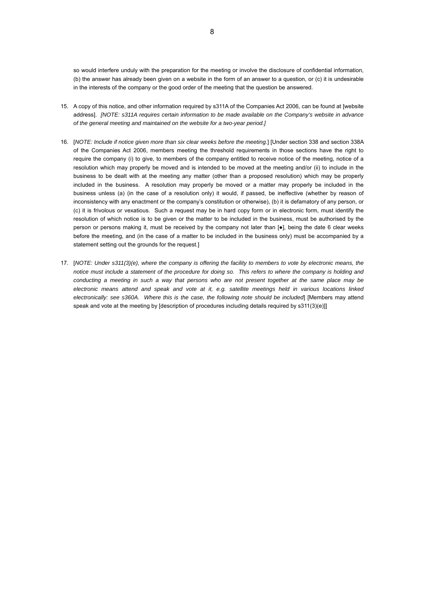so would interfere unduly with the preparation for the meeting or involve the disclosure of confidential information, (b) the answer has already been given on a website in the form of an answer to a question, or (c) it is undesirable in the interests of the company or the good order of the meeting that the question be answered.

- 15. A copy of this notice, and other information required by s311A of the Companies Act 2006, can be found at [website address]. *[NOTE: s311A requires certain information to be made available on the Company's website in advance of the general meeting and maintained on the website for a two-year period.]*
- 16. [*NOTE: Include if notice given more than six clear weeks before the meeting.*] [Under section 338 and section 338A of the Companies Act 2006, members meeting the threshold requirements in those sections have the right to require the company (i) to give, to members of the company entitled to receive notice of the meeting, notice of a resolution which may properly be moved and is intended to be moved at the meeting and/or (ii) to include in the business to be dealt with at the meeting any matter (other than a proposed resolution) which may be properly included in the business. A resolution may properly be moved or a matter may properly be included in the business unless (a) (in the case of a resolution only) it would, if passed, be ineffective (whether by reason of inconsistency with any enactment or the company's constitution or otherwise), (b) it is defamatory of any person, or (c) it is frivolous or vexatious. Such a request may be in hard copy form or in electronic form, must identify the resolution of which notice is to be given or the matter to be included in the business, must be authorised by the person or persons making it, must be received by the company not later than  $[•]$ , being the date 6 clear weeks before the meeting, and (in the case of a matter to be included in the business only) must be accompanied by a statement setting out the grounds for the request.]
- 17. [*NOTE: Under s311(3)(e), where the company is offering the facility to members to vote by electronic means, the notice must include a statement of the procedure for doing so. This refers to where the company is holding and conducting a meeting in such a way that persons who are not present together at the same place may be electronic means attend and speak and vote at it, e.g. satellite meetings held in various locations linked electronically: see s360A. Where this is the case, the following note should be included*] [Members may attend speak and vote at the meeting by [description of procedures including details required by s311(3)(e)]]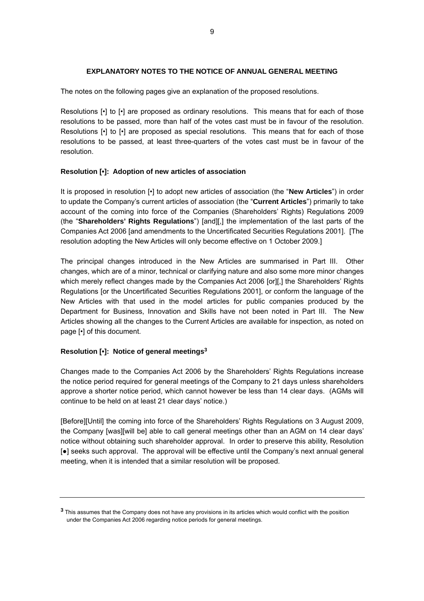## **EXPLANATORY NOTES TO THE NOTICE OF ANNUAL GENERAL MEETING**

The notes on the following pages give an explanation of the proposed resolutions.

Resolutions [•] to [•] are proposed as ordinary resolutions. This means that for each of those resolutions to be passed, more than half of the votes cast must be in favour of the resolution. Resolutions [•] to [•] are proposed as special resolutions. This means that for each of those resolutions to be passed, at least three-quarters of the votes cast must be in favour of the resolution.

## **Resolution [•]: Adoption of new articles of association**

It is proposed in resolution [•] to adopt new articles of association (the "**New Articles**") in order to update the Company's current articles of association (the "**Current Articles**") primarily to take account of the coming into force of the Companies (Shareholders' Rights) Regulations 2009 (the "**Shareholders' Rights Regulations**") [and][,] the implementation of the last parts of the Companies Act 2006 [and amendments to the Uncertificated Securities Regulations 2001]. [The resolution adopting the New Articles will only become effective on 1 October 2009.]

The principal changes introduced in the New Articles are summarised in Part III. Other changes, which are of a minor, technical or clarifying nature and also some more minor changes which merely reflect changes made by the Companies Act 2006 [or][,] the Shareholders' Rights Regulations [or the Uncertificated Securities Regulations 2001], or conform the language of the New Articles with that used in the model articles for public companies produced by the Department for Business, Innovation and Skills have not been noted in Part III. The New Articles showing all the changes to the Current Articles are available for inspection, as noted on page [•] of this document.

## **Resolution [•]: Notice of general meetings[3](#page-8-0)**

Changes made to the Companies Act 2006 by the Shareholders' Rights Regulations increase the notice period required for general meetings of the Company to 21 days unless shareholders approve a shorter notice period, which cannot however be less than 14 clear days. (AGMs will continue to be held on at least 21 clear days' notice.)

[Before][Until] the coming into force of the Shareholders' Rights Regulations on 3 August 2009, the Company [was][will be] able to call general meetings other than an AGM on 14 clear days' notice without obtaining such shareholder approval. In order to preserve this ability, Resolution [●] seeks such approval. The approval will be effective until the Company's next annual general meeting, when it is intended that a similar resolution will be proposed.

<span id="page-8-0"></span>**<sup>3</sup>** This assumes that the Company does not have any provisions in its articles which would conflict with the position under the Companies Act 2006 regarding notice periods for general meetings.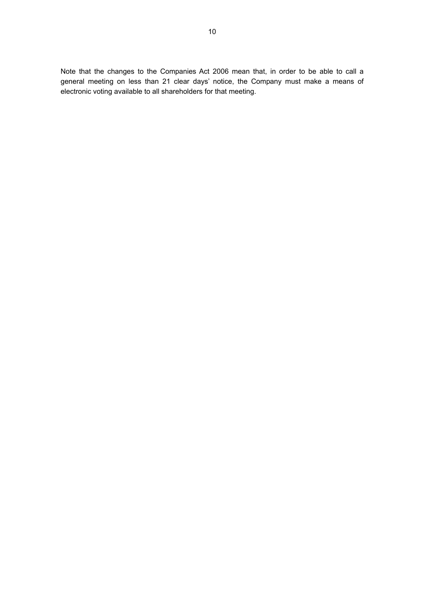Note that the changes to the Companies Act 2006 mean that, in order to be able to call a general meeting on less than 21 clear days' notice, the Company must make a means of electronic voting available to all shareholders for that meeting.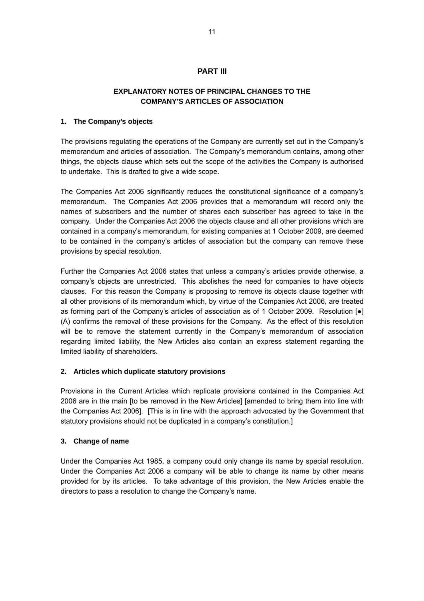## **PART III**

## **EXPLANATORY NOTES OF PRINCIPAL CHANGES TO THE COMPANY'S ARTICLES OF ASSOCIATION**

#### **1. The Company's objects**

The provisions regulating the operations of the Company are currently set out in the Company's memorandum and articles of association. The Company's memorandum contains, among other things, the objects clause which sets out the scope of the activities the Company is authorised to undertake. This is drafted to give a wide scope.

The Companies Act 2006 significantly reduces the constitutional significance of a company's memorandum. The Companies Act 2006 provides that a memorandum will record only the names of subscribers and the number of shares each subscriber has agreed to take in the company. Under the Companies Act 2006 the objects clause and all other provisions which are contained in a company's memorandum, for existing companies at 1 October 2009, are deemed to be contained in the company's articles of association but the company can remove these provisions by special resolution.

Further the Companies Act 2006 states that unless a company's articles provide otherwise, a company's objects are unrestricted. This abolishes the need for companies to have objects clauses. For this reason the Company is proposing to remove its objects clause together with all other provisions of its memorandum which, by virtue of the Companies Act 2006, are treated as forming part of the Company's articles of association as of 1 October 2009. Resolution [●] (A) confirms the removal of these provisions for the Company. As the effect of this resolution will be to remove the statement currently in the Company's memorandum of association regarding limited liability, the New Articles also contain an express statement regarding the limited liability of shareholders.

## **2. Articles which duplicate statutory provisions**

Provisions in the Current Articles which replicate provisions contained in the Companies Act 2006 are in the main [to be removed in the New Articles] [amended to bring them into line with the Companies Act 2006]. [This is in line with the approach advocated by the Government that statutory provisions should not be duplicated in a company's constitution.]

## **3. Change of name**

Under the Companies Act 1985, a company could only change its name by special resolution. Under the Companies Act 2006 a company will be able to change its name by other means provided for by its articles. To take advantage of this provision, the New Articles enable the directors to pass a resolution to change the Company's name.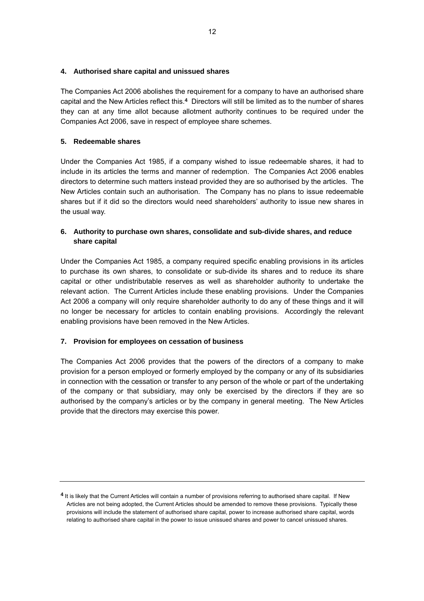## **4. Authorised share capital and unissued shares**

The Companies Act 2006 abolishes the requirement for a company to have an authorised share capital and the New Articles reflect this.**[4](#page-11-0)** Directors will still be limited as to the number of shares they can at any time allot because allotment authority continues to be required under the Companies Act 2006, save in respect of employee share schemes.

## **5. Redeemable shares**

Under the Companies Act 1985, if a company wished to issue redeemable shares, it had to include in its articles the terms and manner of redemption. The Companies Act 2006 enables directors to determine such matters instead provided they are so authorised by the articles. The New Articles contain such an authorisation. The Company has no plans to issue redeemable shares but if it did so the directors would need shareholders' authority to issue new shares in the usual way.

## **6. Authority to purchase own shares, consolidate and sub-divide shares, and reduce share capital**

Under the Companies Act 1985, a company required specific enabling provisions in its articles to purchase its own shares, to consolidate or sub-divide its shares and to reduce its share capital or other undistributable reserves as well as shareholder authority to undertake the relevant action. The Current Articles include these enabling provisions. Under the Companies Act 2006 a company will only require shareholder authority to do any of these things and it will no longer be necessary for articles to contain enabling provisions. Accordingly the relevant enabling provisions have been removed in the New Articles.

## **7. Provision for employees on cessation of business**

The Companies Act 2006 provides that the powers of the directors of a company to make provision for a person employed or formerly employed by the company or any of its subsidiaries in connection with the cessation or transfer to any person of the whole or part of the undertaking of the company or that subsidiary, may only be exercised by the directors if they are so authorised by the company's articles or by the company in general meeting. The New Articles provide that the directors may exercise this power.

<span id="page-11-0"></span>**<sup>4</sup>** It is likely that the Current Articles will contain a number of provisions referring to authorised share capital. If New Articles are not being adopted, the Current Articles should be amended to remove these provisions. Typically these provisions will include the statement of authorised share capital, power to increase authorised share capital, words relating to authorised share capital in the power to issue unissued shares and power to cancel unissued shares.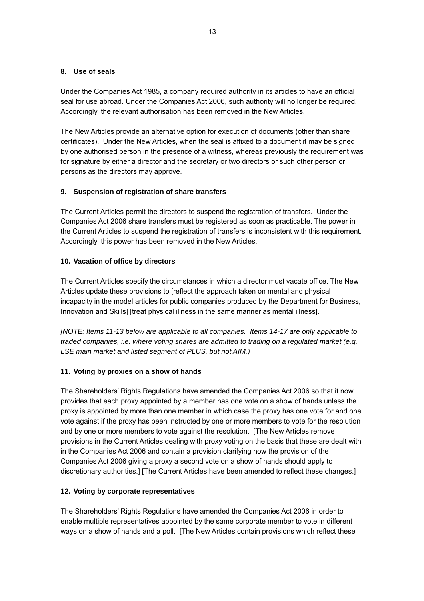## **8. Use of seals**

Under the Companies Act 1985, a company required authority in its articles to have an official seal for use abroad. Under the Companies Act 2006, such authority will no longer be required. Accordingly, the relevant authorisation has been removed in the New Articles.

The New Articles provide an alternative option for execution of documents (other than share certificates). Under the New Articles, when the seal is affixed to a document it may be signed by one authorised person in the presence of a witness, whereas previously the requirement was for signature by either a director and the secretary or two directors or such other person or persons as the directors may approve.

## **9. Suspension of registration of share transfers**

The Current Articles permit the directors to suspend the registration of transfers. Under the Companies Act 2006 share transfers must be registered as soon as practicable. The power in the Current Articles to suspend the registration of transfers is inconsistent with this requirement. Accordingly, this power has been removed in the New Articles.

## **10. Vacation of office by directors**

The Current Articles specify the circumstances in which a director must vacate office. The New Articles update these provisions to [reflect the approach taken on mental and physical incapacity in the model articles for public companies produced by the Department for Business, Innovation and Skills] [treat physical illness in the same manner as mental illness].

*[NOTE: Items 11-13 below are applicable to all companies. Items 14-17 are only applicable to traded companies, i.e. where voting shares are admitted to trading on a regulated market (e.g. LSE main market and listed segment of PLUS, but not AIM.)* 

## **11. Voting by proxies on a show of hands**

The Shareholders' Rights Regulations have amended the Companies Act 2006 so that it now provides that each proxy appointed by a member has one vote on a show of hands unless the proxy is appointed by more than one member in which case the proxy has one vote for and one vote against if the proxy has been instructed by one or more members to vote for the resolution and by one or more members to vote against the resolution. [The New Articles remove provisions in the Current Articles dealing with proxy voting on the basis that these are dealt with in the Companies Act 2006 and contain a provision clarifying how the provision of the Companies Act 2006 giving a proxy a second vote on a show of hands should apply to discretionary authorities.] [The Current Articles have been amended to reflect these changes.]

## **12. Voting by corporate representatives**

The Shareholders' Rights Regulations have amended the Companies Act 2006 in order to enable multiple representatives appointed by the same corporate member to vote in different ways on a show of hands and a poll. [The New Articles contain provisions which reflect these